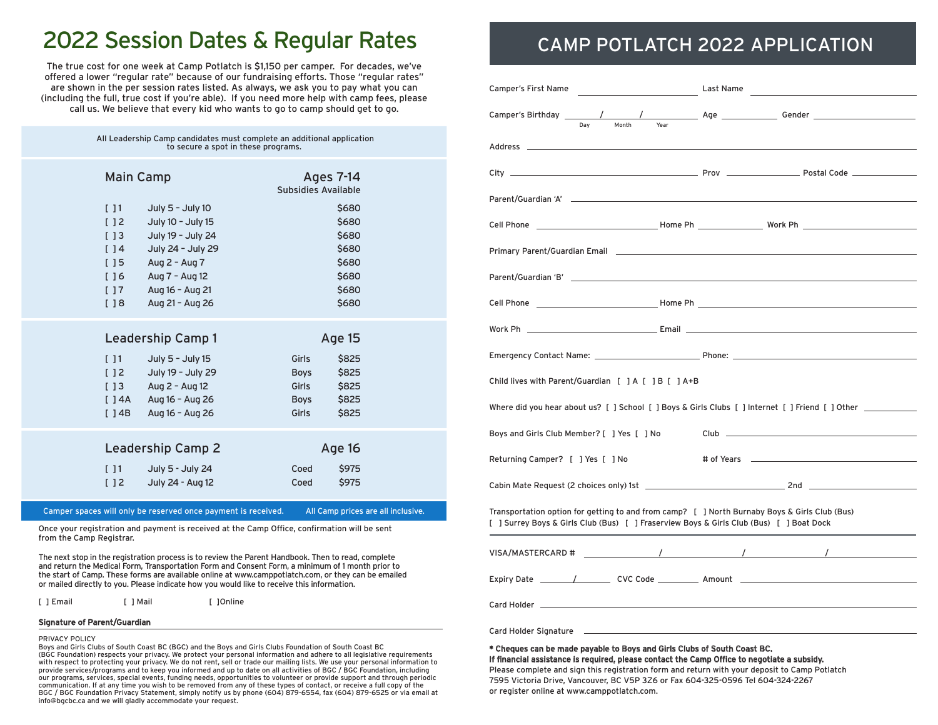## 2022 Session Dates & Regular Rates

The true cost for one week at Camp Potlatch is \$1,150 per camper. For decades, we've offered a lower "regular rate" because of our fundraising efforts. Those "regular rates" are shown in the per session rates listed. As always, we ask you to pay what you can (including the full, true cost if you're able). If you need more help with camp fees, please call us. We believe that every kid who wants to go to camp should get to go.

| All Leadership Camp candidates must complete an additional application<br>to secure a spot in these programs. |                                                                                                                                           |                                                                 |                                           |  |
|---------------------------------------------------------------------------------------------------------------|-------------------------------------------------------------------------------------------------------------------------------------------|-----------------------------------------------------------------|-------------------------------------------|--|
| <b>Main Camp</b><br>11<br>[]<br>$[$ $]$ $3$                                                                   | July 5 - July 10<br>July 10 - July 15<br>July 19 - July 24                                                                                | Ages 7-14<br>Subsidies Available                                | \$680<br>\$680<br>\$680                   |  |
| []4<br>[]5<br>[]6<br>[]7<br>[ ] 8                                                                             | July 24 - July 29<br>Aug 2 - Aug 7<br>Aug 7 - Aug 12<br>Aug 16 - Aug 21<br>Aug 21 - Aug 26                                                |                                                                 | \$680<br>\$680<br>\$680<br>\$680<br>\$680 |  |
| [11]<br>$[$ 14B                                                                                               | Leadership Camp 1<br>July 5 - July 15<br>[ ] 2 July 19 - July 29<br>$[ ] 3$ Aug 2 - Aug 12<br>$[ ] 4A$ Aug 16 - Aug 26<br>Aug 16 - Aug 26 | Age 15<br>Girls<br><b>Boys</b><br>Girls<br><b>Boys</b><br>Girls | \$825<br>\$825<br>\$825<br>\$825<br>\$825 |  |
| 11<br>[ ] 2                                                                                                   | Leadership Camp 2<br>July 5 - July 24<br>July 24 - Aug 12                                                                                 | Age 16<br>Coed<br>Coed                                          | \$975<br>\$975                            |  |

Camper spaces will only be reserved once payment is received. All Camp prices are all inclusive.

Once your registration and payment is received at the Camp Office, confirmation will be sent from the Camp Registrar.

The next stop in the registration process is to review the Parent Handbook. Then to read, complete and return the Medical Form, Transportation Form and Consent Form, a minimum of 1 month prior to the start of Camp. These forms are available online at www.camppotlatch.com, or they can be emailed or mailed directly to you. Please indicate how you would like to receive this information.

[ ] Email [ ] Mail [ ] [ ] Online

#### Signature of Parent/Guardian

#### PRIVACY POLICY

Boys and Girls Clubs of South Coast BC (BGC) and the Boys and Girls Clubs Foundation of South Coast BC (BGC Foundation) respects your privacy. We protect your personal information and adhere to all legislative requirements with respect to protecting your privacy. We do not rent, sell or trade our mailing lists. We use your personal information to provide services/programs and to keep you informed and up to date on all activities of BGC / BGC Foundation, including our programs, services, special events, funding needs, opportunities to volunteer or provide support and through periodic communication. If at any time you wish to be removed from any of these types of contact, or receive a full copy of the BGC / BGC Foundation Privacy Statement, simply notify us by phone (604) 879-6554, fax (604) 879-6525 or via email at info@bgcbc.ca and we will gladly accommodate your request.

### CAMP POTLATCH 2022 APPLICATION

| Day<br>Month<br>Year                                                                                                                                                                                                           |  |  |  |
|--------------------------------------------------------------------------------------------------------------------------------------------------------------------------------------------------------------------------------|--|--|--|
|                                                                                                                                                                                                                                |  |  |  |
|                                                                                                                                                                                                                                |  |  |  |
|                                                                                                                                                                                                                                |  |  |  |
|                                                                                                                                                                                                                                |  |  |  |
| Primary Parent/Guardian Email <b>Executive Server According to the Contract O</b>                                                                                                                                              |  |  |  |
| Parent/Guardian 'B' and the state of the state of the state of the state of the state of the state of the state of the state of the state of the state of the state of the state of the state of the state of the state of the |  |  |  |
|                                                                                                                                                                                                                                |  |  |  |
|                                                                                                                                                                                                                                |  |  |  |
|                                                                                                                                                                                                                                |  |  |  |
| Child lives with Parent/Guardian [ ] A [ ] B [ ] A+B                                                                                                                                                                           |  |  |  |
| Where did you hear about us? [ ] School [ ] Boys & Girls Clubs [ ] Internet [ ] Friend [ ] Other _________                                                                                                                     |  |  |  |
| Boys and Girls Club Member? [ ] Yes [ ] No                                                                                                                                                                                     |  |  |  |
| Returning Camper? [ ] Yes [ ] No                                                                                                                                                                                               |  |  |  |
|                                                                                                                                                                                                                                |  |  |  |
| Transportation option for getting to and from camp? [ ] North Burnaby Boys & Girls Club (Bus)<br>[ ] Surrey Boys & Girls Club (Bus) [ ] Fraserview Boys & Girls Club (Bus) [ ] Boat Dock                                       |  |  |  |
|                                                                                                                                                                                                                                |  |  |  |
| Expiry Date __________/___________ CVC Code _____________ Amount ___________________________________                                                                                                                           |  |  |  |
|                                                                                                                                                                                                                                |  |  |  |
|                                                                                                                                                                                                                                |  |  |  |

\* Cheques can be made payable to Boys and Girls Clubs of South Coast BC.

If financial assistance is required, please contact the Camp Office to negotiate a subsidy. Please complete and sign this registration form and return with your deposit to Camp Potlatch 7595 Victoria Drive, Vancouver, BC V5P 3Z6 or Fax 604-325-0596 Tel 604-324-2267 or register online at www.camppotlatch.com.